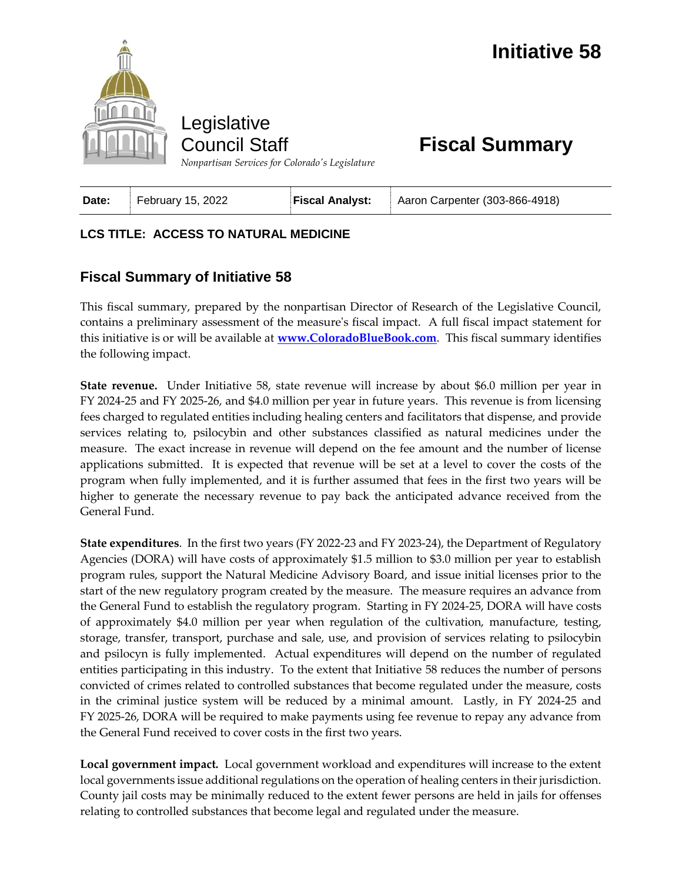

Legislative Council Staff

**Fiscal Summary**

| February 15, 2022<br>Date: | <b>Fiscal Analyst:</b> Aaron Carpenter (303-866-4918) |
|----------------------------|-------------------------------------------------------|
|----------------------------|-------------------------------------------------------|

## **LCS TITLE: ACCESS TO NATURAL MEDICINE**

## **Fiscal Summary of Initiative 58**

This fiscal summary, prepared by the nonpartisan Director of Research of the Legislative Council, contains a preliminary assessment of the measure's fiscal impact. A full fiscal impact statement for this initiative is or will be available at **[www.ColoradoBlueBook.com](http://www.coloradobluebook.com/)**. This fiscal summary identifies the following impact.

**State revenue.** Under Initiative 58, state revenue will increase by about \$6.0 million per year in FY 2024-25 and FY 2025-26, and \$4.0 million per year in future years. This revenue is from licensing fees charged to regulated entities including healing centers and facilitators that dispense, and provide services relating to, psilocybin and other substances classified as natural medicines under the measure. The exact increase in revenue will depend on the fee amount and the number of license applications submitted. It is expected that revenue will be set at a level to cover the costs of the program when fully implemented, and it is further assumed that fees in the first two years will be higher to generate the necessary revenue to pay back the anticipated advance received from the General Fund.

**State expenditures**. In the first two years (FY 2022-23 and FY 2023-24), the Department of Regulatory Agencies (DORA) will have costs of approximately \$1.5 million to \$3.0 million per year to establish program rules, support the Natural Medicine Advisory Board, and issue initial licenses prior to the start of the new regulatory program created by the measure. The measure requires an advance from the General Fund to establish the regulatory program. Starting in FY 2024-25, DORA will have costs of approximately \$4.0 million per year when regulation of the cultivation, manufacture, testing, storage, transfer, transport, purchase and sale, use, and provision of services relating to psilocybin and psilocyn is fully implemented. Actual expenditures will depend on the number of regulated entities participating in this industry. To the extent that Initiative 58 reduces the number of persons convicted of crimes related to controlled substances that become regulated under the measure, costs in the criminal justice system will be reduced by a minimal amount. Lastly, in FY 2024-25 and FY 2025-26, DORA will be required to make payments using fee revenue to repay any advance from the General Fund received to cover costs in the first two years.

**Local government impact.** Local government workload and expenditures will increase to the extent local governments issue additional regulations on the operation of healing centers in their jurisdiction. County jail costs may be minimally reduced to the extent fewer persons are held in jails for offenses relating to controlled substances that become legal and regulated under the measure.